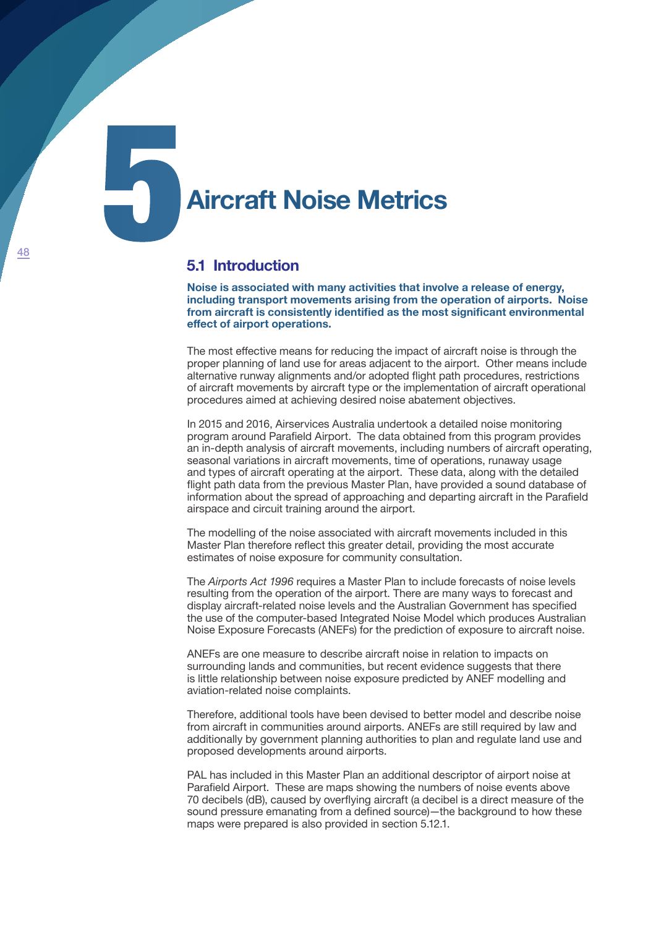**Aircraft Noise Metrics** 

## **5.1 Introduction**

**Noise is associated with many activities that involve a release of energy, including transport movements arising from the operation of airports. Noise from aircraft is consistently identified as the most significant environmental effect of airport operations.**

The most effective means for reducing the impact of aircraft noise is through the proper planning of land use for areas adjacent to the airport. Other means include alternative runway alignments and/or adopted flight path procedures, restrictions of aircraft movements by aircraft type or the implementation of aircraft operational procedures aimed at achieving desired noise abatement objectives.

In 2015 and 2016, Airservices Australia undertook a detailed noise monitoring program around Parafield Airport. The data obtained from this program provides an in-depth analysis of aircraft movements, including numbers of aircraft operating, seasonal variations in aircraft movements, time of operations, runaway usage and types of aircraft operating at the airport. These data, along with the detailed flight path data from the previous Master Plan, have provided a sound database of information about the spread of approaching and departing aircraft in the Parafield airspace and circuit training around the airport.

The modelling of the noise associated with aircraft movements included in this Master Plan therefore reflect this greater detail, providing the most accurate estimates of noise exposure for community consultation.

The *Airports Act 1996* requires a Master Plan to include forecasts of noise levels resulting from the operation of the airport. There are many ways to forecast and display aircraft-related noise levels and the Australian Government has specified the use of the computer-based Integrated Noise Model which produces Australian Noise Exposure Forecasts (ANEFs) for the prediction of exposure to aircraft noise.

ANEFs are one measure to describe aircraft noise in relation to impacts on surrounding lands and communities, but recent evidence suggests that there is little relationship between noise exposure predicted by ANEF modelling and aviation-related noise complaints.

Therefore, additional tools have been devised to better model and describe noise from aircraft in communities around airports. ANEFs are still required by law and additionally by government planning authorities to plan and regulate land use and proposed developments around airports.

PAL has included in this Master Plan an additional descriptor of airport noise at Parafield Airport. These are maps showing the numbers of noise events above 70 decibels (dB), caused by overflying aircraft (a decibel is a direct measure of the sound pressure emanating from a defined source)—the background to how these maps were prepared is also provided in section 5.12.1.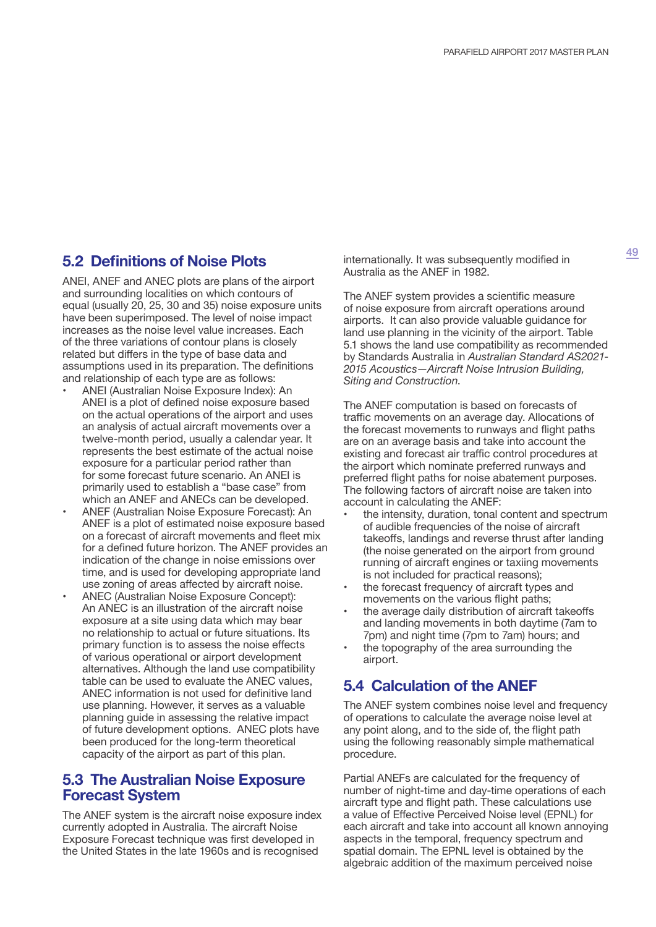# **5.2 Definitions of Noise Plots**

ANEI, ANEF and ANEC plots are plans of the airport and surrounding localities on which contours of equal (usually 20, 25, 30 and 35) noise exposure units have been superimposed. The level of noise impact increases as the noise level value increases. Each of the three variations of contour plans is closely related but differs in the type of base data and assumptions used in its preparation. The definitions and relationship of each type are as follows:

- ANEI (Australian Noise Exposure Index): An ANEI is a plot of defined noise exposure based on the actual operations of the airport and uses an analysis of actual aircraft movements over a twelve-month period, usually a calendar year. It represents the best estimate of the actual noise exposure for a particular period rather than for some forecast future scenario. An ANEI is primarily used to establish a "base case" from which an ANEF and ANECs can be developed.
- ANEF (Australian Noise Exposure Forecast): An ANEF is a plot of estimated noise exposure based on a forecast of aircraft movements and fleet mix for a defined future horizon. The ANEF provides an indication of the change in noise emissions over time, and is used for developing appropriate land use zoning of areas affected by aircraft noise.
- ANEC (Australian Noise Exposure Concept): An ANEC is an illustration of the aircraft noise exposure at a site using data which may bear no relationship to actual or future situations. Its primary function is to assess the noise effects of various operational or airport development alternatives. Although the land use compatibility table can be used to evaluate the ANEC values, ANEC information is not used for definitive land use planning. However, it serves as a valuable planning guide in assessing the relative impact of future development options. ANEC plots have been produced for the long-term theoretical capacity of the airport as part of this plan.

## **5.3 The Australian Noise Exposure Forecast System**

The ANEF system is the aircraft noise exposure index currently adopted in Australia. The aircraft Noise Exposure Forecast technique was first developed in the United States in the late 1960s and is recognised

internationally. It was subsequently modified in Australia as the ANEF in 1982.

The ANEF system provides a scientific measure of noise exposure from aircraft operations around airports. It can also provide valuable guidance for land use planning in the vicinity of the airport. Table 5.1 shows the land use compatibility as recommended by Standards Australia in *Australian Standard AS2021- 2015 Acoustics—Aircraft Noise Intrusion Building, Siting and Construction*.

The ANEF computation is based on forecasts of traffic movements on an average day. Allocations of the forecast movements to runways and flight paths are on an average basis and take into account the existing and forecast air traffic control procedures at the airport which nominate preferred runways and preferred flight paths for noise abatement purposes. The following factors of aircraft noise are taken into account in calculating the ANEF:

- the intensity, duration, tonal content and spectrum of audible frequencies of the noise of aircraft takeoffs, landings and reverse thrust after landing (the noise generated on the airport from ground running of aircraft engines or taxiing movements is not included for practical reasons);
- the forecast frequency of aircraft types and movements on the various flight paths;
- the average daily distribution of aircraft takeoffs and landing movements in both daytime (7am to 7pm) and night time (7pm to 7am) hours; and
- the topography of the area surrounding the airport.

# **5.4 Calculation of the ANEF**

The ANEF system combines noise level and frequency of operations to calculate the average noise level at any point along, and to the side of, the flight path using the following reasonably simple mathematical procedure.

Partial ANEFs are calculated for the frequency of number of night-time and day-time operations of each aircraft type and flight path. These calculations use a value of Effective Perceived Noise level (EPNL) for each aircraft and take into account all known annoying aspects in the temporal, frequency spectrum and spatial domain. The EPNL level is obtained by the algebraic addition of the maximum perceived noise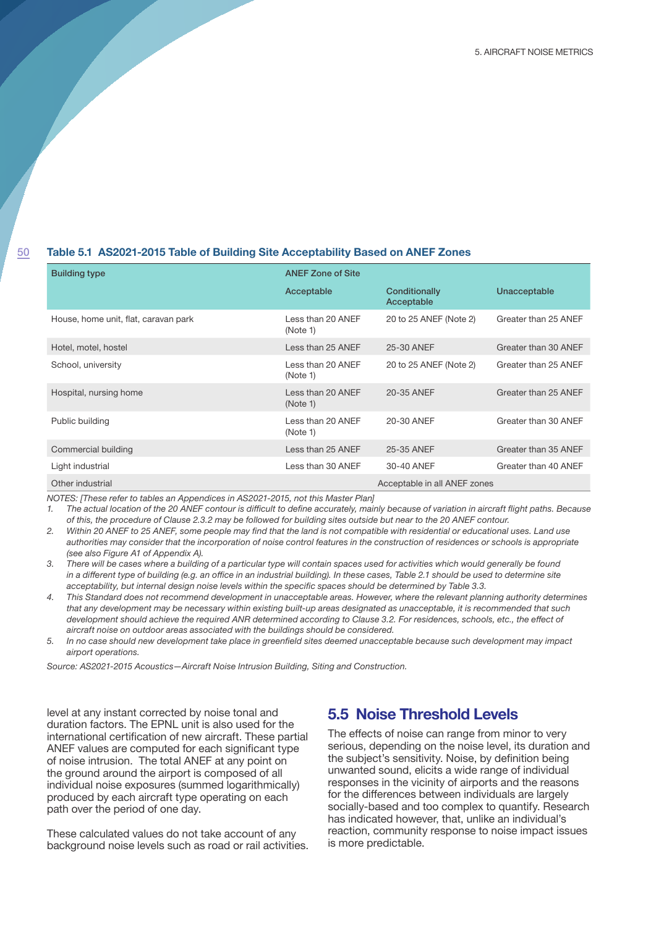#### 50

#### **Table 5.1 AS2021-2015 Table of Building Site Acceptability Based on ANEF Zones**

| <b>Building type</b>                 | <b>ANEF Zone of Site</b>      |                              |                      |
|--------------------------------------|-------------------------------|------------------------------|----------------------|
|                                      | Acceptable                    | Conditionally<br>Acceptable  | Unacceptable         |
| House, home unit, flat, caravan park | Less than 20 ANEF<br>(Note 1) | 20 to 25 ANEF (Note 2)       | Greater than 25 ANEF |
| Hotel, motel, hostel                 | Less than 25 ANEF             | 25-30 ANEF                   | Greater than 30 ANEF |
| School, university                   | Less than 20 ANEF<br>(Note 1) | 20 to 25 ANEF (Note 2)       | Greater than 25 ANEF |
| Hospital, nursing home               | Less than 20 ANEF<br>(Note 1) | 20-35 ANEF                   | Greater than 25 ANEF |
| Public building                      | Less than 20 ANEF<br>(Note 1) | 20-30 ANEF                   | Greater than 30 ANEF |
| Commercial building                  | Less than 25 ANEF             | 25-35 ANEF                   | Greater than 35 ANEF |
| Light industrial                     | Less than 30 ANEF             | 30-40 ANEF                   | Greater than 40 ANEF |
| Other industrial                     |                               | Acceptable in all ANEF zones |                      |

*NOTES: [These refer to tables an Appendices in AS2021-2015, not this Master Plan]*

*1. The actual location of the 20 ANEF contour is difficult to define accurately, mainly because of variation in aircraft flight paths. Because of this, the procedure of Clause 2.3.2 may be followed for building sites outside but near to the 20 ANEF contour.*

*2. Within 20 ANEF to 25 ANEF, some people may find that the land is not compatible with residential or educational uses. Land use authorities may consider that the incorporation of noise control features in the construction of residences or schools is appropriate (see also Figure A1 of Appendix A).*

*3. There will be cases where a building of a particular type will contain spaces used for activities which would generally be found in a different type of building (e.g. an office in an industrial building). In these cases, Table 2.1 should be used to determine site acceptability, but internal design noise levels within the specific spaces should be determined by Table 3.3.*

*4. This Standard does not recommend development in unacceptable areas. However, where the relevant planning authority determines that any development may be necessary within existing built-up areas designated as unacceptable, it is recommended that such development should achieve the required ANR determined according to Clause 3.2. For residences, schools, etc., the effect of aircraft noise on outdoor areas associated with the buildings should be considered.*

*5. In no case should new development take place in greenfield sites deemed unacceptable because such development may impact airport operations.*

*Source: AS2021-2015 Acoustics—Aircraft Noise Intrusion Building, Siting and Construction.*

level at any instant corrected by noise tonal and duration factors. The EPNL unit is also used for the international certification of new aircraft. These partial ANEF values are computed for each significant type of noise intrusion. The total ANEF at any point on the ground around the airport is composed of all individual noise exposures (summed logarithmically) produced by each aircraft type operating on each path over the period of one day.

These calculated values do not take account of any background noise levels such as road or rail activities.

## **5.5 Noise Threshold Levels**

The effects of noise can range from minor to very serious, depending on the noise level, its duration and the subject's sensitivity. Noise, by definition being unwanted sound, elicits a wide range of individual responses in the vicinity of airports and the reasons for the differences between individuals are largely socially-based and too complex to quantify. Research has indicated however, that, unlike an individual's reaction, community response to noise impact issues is more predictable.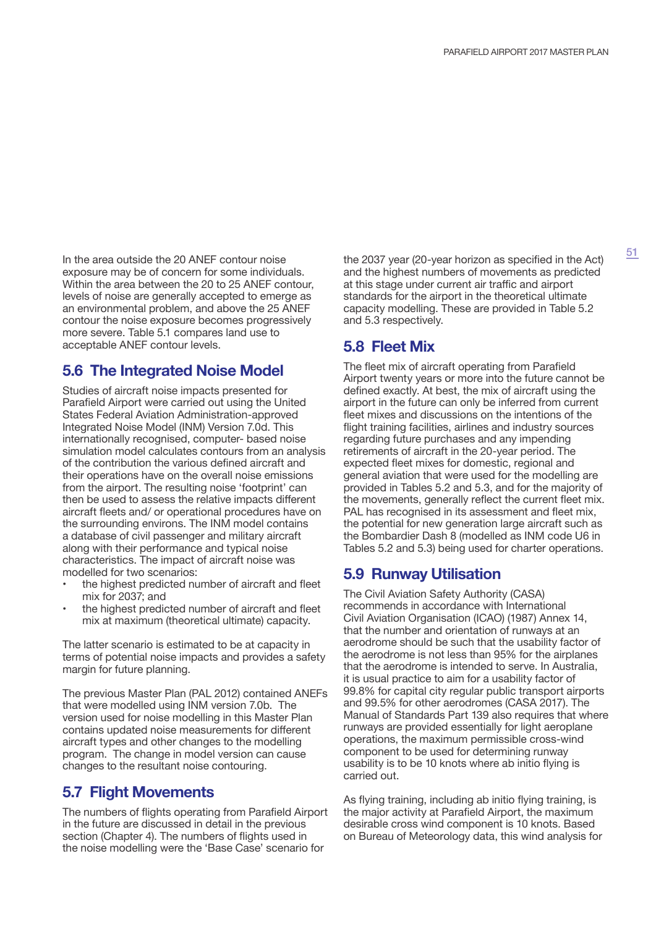In the area outside the 20 ANEF contour noise exposure may be of concern for some individuals. Within the area between the 20 to 25 ANEF contour, levels of noise are generally accepted to emerge as an environmental problem, and above the 25 ANEF contour the noise exposure becomes progressively more severe. Table 5.1 compares land use to acceptable ANEF contour levels.

# **5.6 The Integrated Noise Model**

Studies of aircraft noise impacts presented for Parafield Airport were carried out using the United States Federal Aviation Administration-approved Integrated Noise Model (INM) Version 7.0d. This internationally recognised, computer- based noise simulation model calculates contours from an analysis of the contribution the various defined aircraft and their operations have on the overall noise emissions from the airport. The resulting noise 'footprint' can then be used to assess the relative impacts different aircraft fleets and/ or operational procedures have on the surrounding environs. The INM model contains a database of civil passenger and military aircraft along with their performance and typical noise characteristics. The impact of aircraft noise was modelled for two scenarios:

- the highest predicted number of aircraft and fleet mix for 2037; and
- the highest predicted number of aircraft and fleet mix at maximum (theoretical ultimate) capacity.

The latter scenario is estimated to be at capacity in terms of potential noise impacts and provides a safety margin for future planning.

The previous Master Plan (PAL 2012) contained ANEFs that were modelled using INM version 7.0b. The version used for noise modelling in this Master Plan contains updated noise measurements for different aircraft types and other changes to the modelling program. The change in model version can cause changes to the resultant noise contouring.

## **5.7 Flight Movements**

The numbers of flights operating from Parafield Airport in the future are discussed in detail in the previous section (Chapter 4). The numbers of flights used in the noise modelling were the 'Base Case' scenario for

the 2037 year (20-year horizon as specified in the Act) and the highest numbers of movements as predicted at this stage under current air traffic and airport standards for the airport in the theoretical ultimate capacity modelling. These are provided in Table 5.2 and 5.3 respectively.

# **5.8 Fleet Mix**

The fleet mix of aircraft operating from Parafield Airport twenty years or more into the future cannot be defined exactly. At best, the mix of aircraft using the airport in the future can only be inferred from current fleet mixes and discussions on the intentions of the flight training facilities, airlines and industry sources regarding future purchases and any impending retirements of aircraft in the 20-year period. The expected fleet mixes for domestic, regional and general aviation that were used for the modelling are provided in Tables 5.2 and 5.3, and for the majority of the movements, generally reflect the current fleet mix. PAL has recognised in its assessment and fleet mix, the potential for new generation large aircraft such as the Bombardier Dash 8 (modelled as INM code U6 in Tables 5.2 and 5.3) being used for charter operations.

# **5.9 Runway Utilisation**

The Civil Aviation Safety Authority (CASA) recommends in accordance with International Civil Aviation Organisation (ICAO) (1987) Annex 14, that the number and orientation of runways at an aerodrome should be such that the usability factor of the aerodrome is not less than 95% for the airplanes that the aerodrome is intended to serve. In Australia, it is usual practice to aim for a usability factor of 99.8% for capital city regular public transport airports and 99.5% for other aerodromes (CASA 2017). The Manual of Standards Part 139 also requires that where runways are provided essentially for light aeroplane operations, the maximum permissible cross-wind component to be used for determining runway usability is to be 10 knots where ab initio flying is carried out.

As flying training, including ab initio flying training, is the major activity at Parafield Airport, the maximum desirable cross wind component is 10 knots. Based on Bureau of Meteorology data, this wind analysis for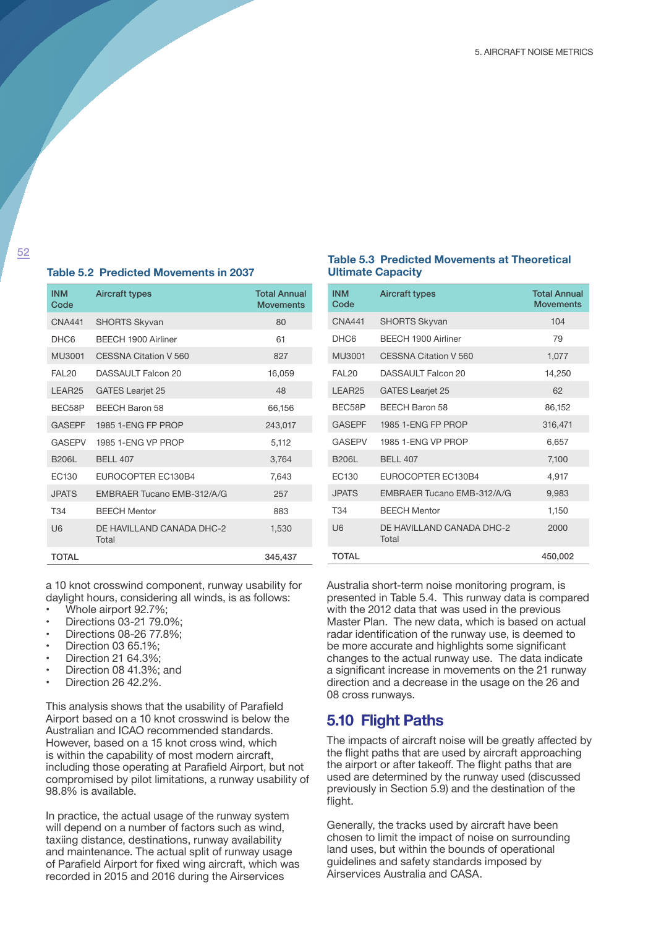#### **Table 5.2 Predicted Movements in 2037**

| <b>INM</b><br>Code | <b>Aircraft types</b>              | <b>Total Annual</b><br><b>Movements</b> |
|--------------------|------------------------------------|-----------------------------------------|
| <b>CNA441</b>      | <b>SHORTS Skyvan</b>               | 80                                      |
| DHC <sub>6</sub>   | BFFCH 1900 Airliner                | 61                                      |
| MU3001             | CESSNA Citation V 560              | 827                                     |
| <b>FAI 20</b>      | DASSAULT Falcon 20                 | 16,059                                  |
| LEAR <sub>25</sub> | <b>GATES Learjet 25</b>            | 48                                      |
| BEC58P             | <b>BEECH Baron 58</b>              | 66,156                                  |
| <b>GASEPF</b>      | 1985 1-ENG FP PROP                 | 243.017                                 |
| <b>GASEPV</b>      | 1985 1-FNG VP PROP                 | 5,112                                   |
| <b>B206L</b>       | <b>BELL 407</b>                    | 3.764                                   |
| FC130              | EUROCOPTER EC130B4                 | 7,643                                   |
| <b>JPATS</b>       | EMBRAER Tucano EMB-312/A/G         | 257                                     |
| T34                | <b>BEECH Mentor</b>                | 883                                     |
| U6                 | DE HAVILLAND CANADA DHC-2<br>Total | 1,530                                   |
| <b>TOTAL</b>       |                                    | 345.437                                 |

a 10 knot crosswind component, runway usability for daylight hours, considering all winds, is as follows:

- Whole airport 92.7%;
- Directions 03-21 79.0%;
- Directions 08-26 77.8%;
- Direction 03 65.1%;
- Direction 21 64.3%;
- Direction 08 41.3%; and
- Direction 26 42.2%.

This analysis shows that the usability of Parafield Airport based on a 10 knot crosswind is below the Australian and ICAO recommended standards. However, based on a 15 knot cross wind, which is within the capability of most modern aircraft, including those operating at Parafield Airport, but not compromised by pilot limitations, a runway usability of 98.8% is available.

In practice, the actual usage of the runway system will depend on a number of factors such as wind, taxiing distance, destinations, runway availability and maintenance. The actual split of runway usage of Parafield Airport for fixed wing aircraft, which was recorded in 2015 and 2016 during the Airservices

#### **Table 5.3 Predicted Movements at Theoretical Ultimate Capacity**

| <b>INM</b><br>Code | <b>Aircraft types</b>              | <b>Total Annual</b><br><b>Movements</b> |
|--------------------|------------------------------------|-----------------------------------------|
| <b>CNA441</b>      | <b>SHORTS Skyvan</b>               | 104                                     |
| DHC <sub>6</sub>   | BFFCH 1900 Airliner                | 79                                      |
| MU3001             | CESSNA Citation V 560              | 1,077                                   |
| <b>FAI 20</b>      | DASSAULT Falcon 20                 | 14,250                                  |
| LEAR <sub>25</sub> | <b>GATES Learjet 25</b>            | 62                                      |
| BEC58P             | <b>BEECH Baron 58</b>              | 86,152                                  |
| <b>GASEPF</b>      | 1985 1-ENG FP PROP                 | 316,471                                 |
| <b>GASFPV</b>      | 1985 1-FNG VP PROP                 | 6,657                                   |
| <b>B206L</b>       | <b>BELL 407</b>                    | 7,100                                   |
| EC130              | EUROCOPTER EC130B4                 | 4,917                                   |
| <b>JPATS</b>       | EMBRAER Tucano EMB-312/A/G         | 9,983                                   |
| T <sub>34</sub>    | <b>BFFCH Mentor</b>                | 1,150                                   |
| U6                 | DE HAVILLAND CANADA DHC-2<br>Total | 2000                                    |
| <b>TOTAL</b>       |                                    | 450,002                                 |

Australia short-term noise monitoring program, is presented in Table 5.4. This runway data is compared with the 2012 data that was used in the previous Master Plan. The new data, which is based on actual radar identification of the runway use, is deemed to be more accurate and highlights some significant changes to the actual runway use. The data indicate a significant increase in movements on the 21 runway direction and a decrease in the usage on the 26 and 08 cross runways.

## **5.10 Flight Paths**

The impacts of aircraft noise will be greatly affected by the flight paths that are used by aircraft approaching the airport or after takeoff. The flight paths that are used are determined by the runway used (discussed previously in Section 5.9) and the destination of the flight.

Generally, the tracks used by aircraft have been chosen to limit the impact of noise on surrounding land uses, but within the bounds of operational guidelines and safety standards imposed by Airservices Australia and CASA.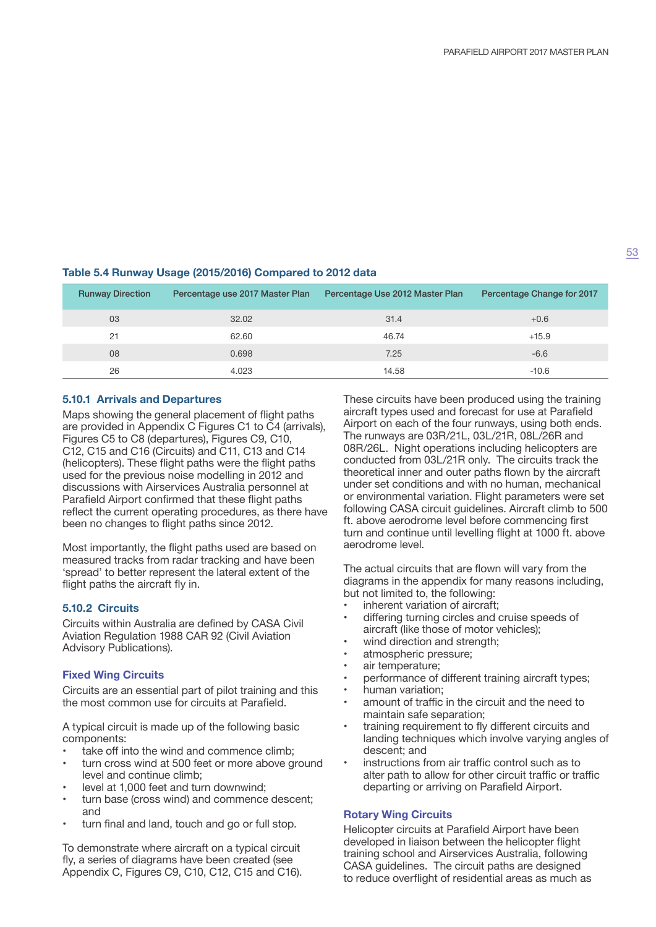### **Table 5.4 Runway Usage (2015/2016) Compared to 2012 data**

| <b>Runway Direction</b> | Percentage use 2017 Master Plan | Percentage Use 2012 Master Plan | Percentage Change for 2017 |
|-------------------------|---------------------------------|---------------------------------|----------------------------|
| 03                      | 32.02                           | 31.4                            | $+0.6$                     |
| 21                      | 62.60                           | 46.74                           | $+15.9$                    |
| 08                      | 0.698                           | 7.25                            | $-6.6$                     |
| 26                      | 4.023                           | 14.58                           | $-10.6$                    |

### **5.10.1 Arrivals and Departures**

Maps showing the general placement of flight paths are provided in Appendix C Figures C1 to C4 (arrivals), Figures C5 to C8 (departures), Figures C9, C10, C12, C15 and C16 (Circuits) and C11, C13 and C14 (helicopters). These flight paths were the flight paths used for the previous noise modelling in 2012 and discussions with Airservices Australia personnel at Parafield Airport confirmed that these flight paths reflect the current operating procedures, as there have been no changes to flight paths since 2012.

Most importantly, the flight paths used are based on measured tracks from radar tracking and have been 'spread' to better represent the lateral extent of the flight paths the aircraft fly in.

## **5.10.2 Circuits**

Circuits within Australia are defined by CASA Civil Aviation Regulation 1988 CAR 92 (Civil Aviation Advisory Publications).

### **Fixed Wing Circuits**

Circuits are an essential part of pilot training and this the most common use for circuits at Parafield.

A typical circuit is made up of the following basic components:

- take off into the wind and commence climb;
- turn cross wind at 500 feet or more above ground level and continue climb;
- level at 1,000 feet and turn downwind;
- turn base (cross wind) and commence descent; and
- turn final and land, touch and go or full stop.

To demonstrate where aircraft on a typical circuit fly, a series of diagrams have been created (see Appendix C, Figures C9, C10, C12, C15 and C16). These circuits have been produced using the training aircraft types used and forecast for use at Parafield Airport on each of the four runways, using both ends. The runways are 03R/21L, 03L/21R, 08L/26R and 08R/26L. Night operations including helicopters are conducted from 03L/21R only. The circuits track the theoretical inner and outer paths flown by the aircraft under set conditions and with no human, mechanical or environmental variation. Flight parameters were set following CASA circuit guidelines. Aircraft climb to 500 ft. above aerodrome level before commencing first turn and continue until levelling flight at 1000 ft. above aerodrome level.

The actual circuits that are flown will vary from the diagrams in the appendix for many reasons including, but not limited to, the following:

- inherent variation of aircraft;
- differing turning circles and cruise speeds of aircraft (like those of motor vehicles);
- wind direction and strength;
- atmospheric pressure;
- air temperature;
- performance of different training aircraft types;
- human variation;
- amount of traffic in the circuit and the need to maintain safe separation;
- training requirement to fly different circuits and landing techniques which involve varying angles of descent; and
- instructions from air traffic control such as to alter path to allow for other circuit traffic or traffic departing or arriving on Parafield Airport.

#### **Rotary Wing Circuits**

Helicopter circuits at Parafield Airport have been developed in liaison between the helicopter flight training school and Airservices Australia, following CASA guidelines. The circuit paths are designed to reduce overflight of residential areas as much as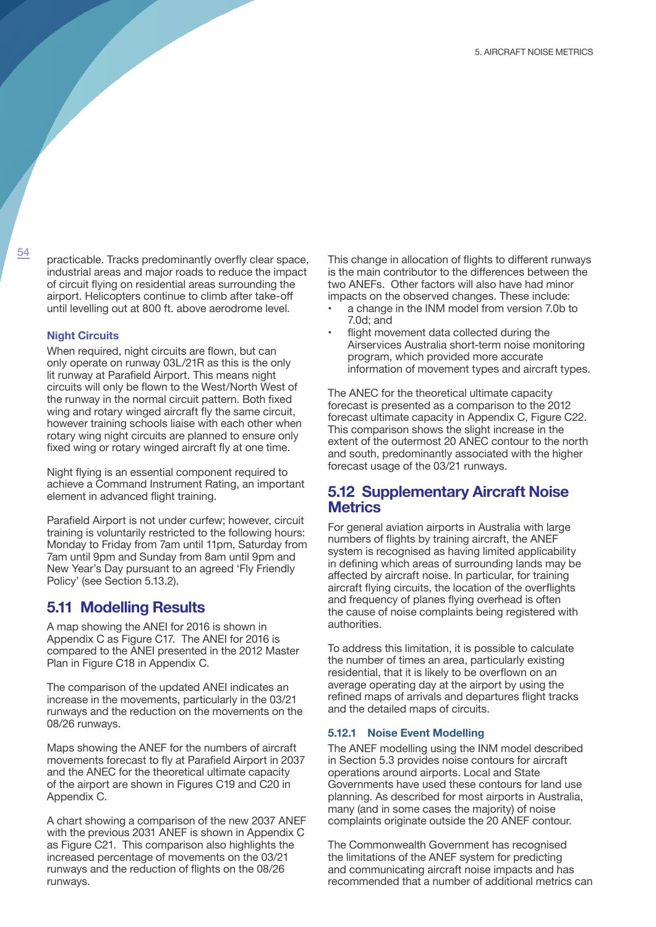$\frac{54}{2}$  practicable. Tracks predominantly overfly clear space, industrial areas and major roads to reduce the impact of circuit flying on residential areas surrounding the airport. Helicopters continue to climb after take-off until levelling out at 800 ft. above aerodrome level.

#### **Night Circuits**

When required, night circuits are flown, but can only operate on runway 03L/21R as this is the only lit runway at Parafield Airport. This means night circuits will only be flown to the West/North West of the runway in the normal circuit pattern. Both fixed wing and rotary winged aircraft fly the same circuit, however training schools liaise with each other when rotary wing night circuits are planned to ensure only fixed wing or rotary winged aircraft fly at one time.

Night flying is an essential component required to achieve a Command Instrument Rating, an important element in advanced flight training.

Parafield Airport is not under curfew; however, circuit training is voluntarily restricted to the following hours: Monday to Friday from 7am until 11pm, Saturday from 7am until 9pm and Sunday from 8am until 9pm and New Year's Day pursuant to an agreed 'Fly Friendly Policy' (see Section 5.13.2).

### **5.11 Modelling Results**

A map showing the ANEI for 2016 is shown in Appendix C as Figure C17. The ANEI for 2016 is compared to the ANEI presented in the 2012 Master Plan in Figure C18 in Appendix C.

The comparison of the updated ANEI indicates an increase in the movements, particularly in the 03/21 runways and the reduction on the movements on the 08/26 runways.

Maps showing the ANEF for the numbers of aircraft movements forecast to fly at Parafield Airport in 2037 and the ANEC for the theoretical ultimate capacity of the airport are shown in Figures C19 and C20 in Appendix C.

A chart showing a comparison of the new 2037 ANEF with the previous 2031 ANEF is shown in Appendix C as Figure C21. This comparison also highlights the increased percentage of movements on the 03/21 runways and the reduction of flights on the 08/26 runways.

This change in allocation of flights to different runways is the main contributor to the differences between the two ANEFs. Other factors will also have had minor impacts on the observed changes. These include:

- a change in the INM model from version 7.0b to 7.0d; and
- flight movement data collected during the Airservices Australia short-term noise monitoring program, which provided more accurate information of movement types and aircraft types.

The ANEC for the theoretical ultimate capacity forecast is presented as a comparison to the 2012 forecast ultimate capacity in Appendix C, Figure C22. This comparison shows the slight increase in the extent of the outermost 20 ANEC contour to the north and south, predominantly associated with the higher forecast usage of the 03/21 runways.

## **5.12 Supplementary Aircraft Noise Metrics**

For general aviation airports in Australia with large numbers of flights by training aircraft, the ANEF system is recognised as having limited applicability in defining which areas of surrounding lands may be affected by aircraft noise. In particular, for training aircraft flying circuits, the location of the overflights and frequency of planes flying overhead is often the cause of noise complaints being registered with authorities.

To address this limitation, it is possible to calculate the number of times an area, particularly existing residential, that it is likely to be overflown on an average operating day at the airport by using the refined maps of arrivals and departures flight tracks and the detailed maps of circuits.

#### **5.12.1 Noise Event Modelling**

The ANEF modelling using the INM model described in Section 5.3 provides noise contours for aircraft operations around airports. Local and State Governments have used these contours for land use planning. As described for most airports in Australia, many (and in some cases the majority) of noise complaints originate outside the 20 ANEF contour.

The Commonwealth Government has recognised the limitations of the ANEF system for predicting and communicating aircraft noise impacts and has recommended that a number of additional metrics can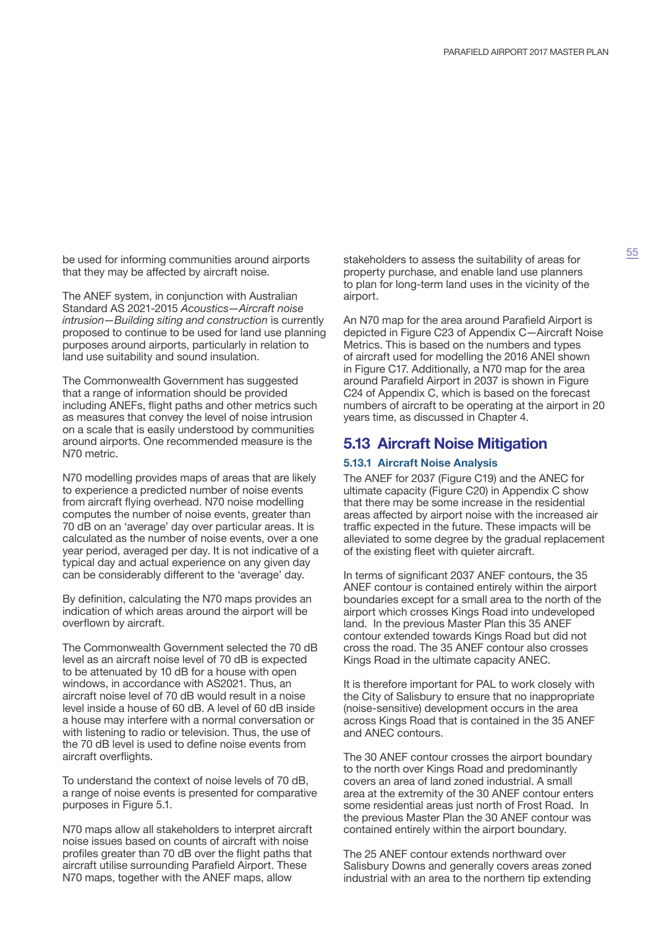be used for informing communities around airports that they may be affected by aircraft noise.

The ANEF system, in conjunction with Australian Standard AS 2021-2015 *Acoustics—Aircraft noise intrusion—Building siting and construction* is currently proposed to continue to be used for land use planning purposes around airports, particularly in relation to land use suitability and sound insulation.

The Commonwealth Government has suggested that a range of information should be provided including ANEFs, flight paths and other metrics such as measures that convey the level of noise intrusion on a scale that is easily understood by communities around airports. One recommended measure is the N70 metric.

N70 modelling provides maps of areas that are likely to experience a predicted number of noise events from aircraft flying overhead. N70 noise modelling computes the number of noise events, greater than 70 dB on an 'average' day over particular areas. It is calculated as the number of noise events, over a one year period, averaged per day. It is not indicative of a typical day and actual experience on any given day can be considerably different to the 'average' day.

By definition, calculating the N70 maps provides an indication of which areas around the airport will be overflown by aircraft.

The Commonwealth Government selected the 70 dB level as an aircraft noise level of 70 dB is expected to be attenuated by 10 dB for a house with open windows, in accordance with AS2021. Thus, an aircraft noise level of 70 dB would result in a noise level inside a house of 60 dB. A level of 60 dB inside a house may interfere with a normal conversation or with listening to radio or television. Thus, the use of the 70 dB level is used to define noise events from aircraft overflights.

To understand the context of noise levels of 70 dB, a range of noise events is presented for comparative purposes in Figure 5.1.

N70 maps allow all stakeholders to interpret aircraft noise issues based on counts of aircraft with noise profiles greater than 70 dB over the flight paths that aircraft utilise surrounding Parafield Airport. These N70 maps, together with the ANEF maps, allow

stakeholders to assess the suitability of areas for property purchase, and enable land use planners to plan for long-term land uses in the vicinity of the airport.

An N70 map for the area around Parafield Airport is depicted in Figure C23 of Appendix C—Aircraft Noise Metrics. This is based on the numbers and types of aircraft used for modelling the 2016 ANEI shown in Figure C17. Additionally, a N70 map for the area around Parafield Airport in 2037 is shown in Figure C24 of Appendix C, which is based on the forecast numbers of aircraft to be operating at the airport in 20 years time, as discussed in Chapter 4.

# **5.13 Aircraft Noise Mitigation**

#### **5.13.1 Aircraft Noise Analysis**

The ANEF for 2037 (Figure C19) and the ANEC for ultimate capacity (Figure C20) in Appendix C show that there may be some increase in the residential areas affected by airport noise with the increased air traffic expected in the future. These impacts will be alleviated to some degree by the gradual replacement of the existing fleet with quieter aircraft.

In terms of significant 2037 ANEF contours, the 35 ANEF contour is contained entirely within the airport boundaries except for a small area to the north of the airport which crosses Kings Road into undeveloped land. In the previous Master Plan this 35 ANEF contour extended towards Kings Road but did not cross the road. The 35 ANEF contour also crosses Kings Road in the ultimate capacity ANEC.

It is therefore important for PAL to work closely with the City of Salisbury to ensure that no inappropriate (noise-sensitive) development occurs in the area across Kings Road that is contained in the 35 ANEF and ANEC contours.

The 30 ANEF contour crosses the airport boundary to the north over Kings Road and predominantly covers an area of land zoned industrial. A small area at the extremity of the 30 ANEF contour enters some residential areas just north of Frost Road. In the previous Master Plan the 30 ANEF contour was contained entirely within the airport boundary.

The 25 ANEF contour extends northward over Salisbury Downs and generally covers areas zoned industrial with an area to the northern tip extending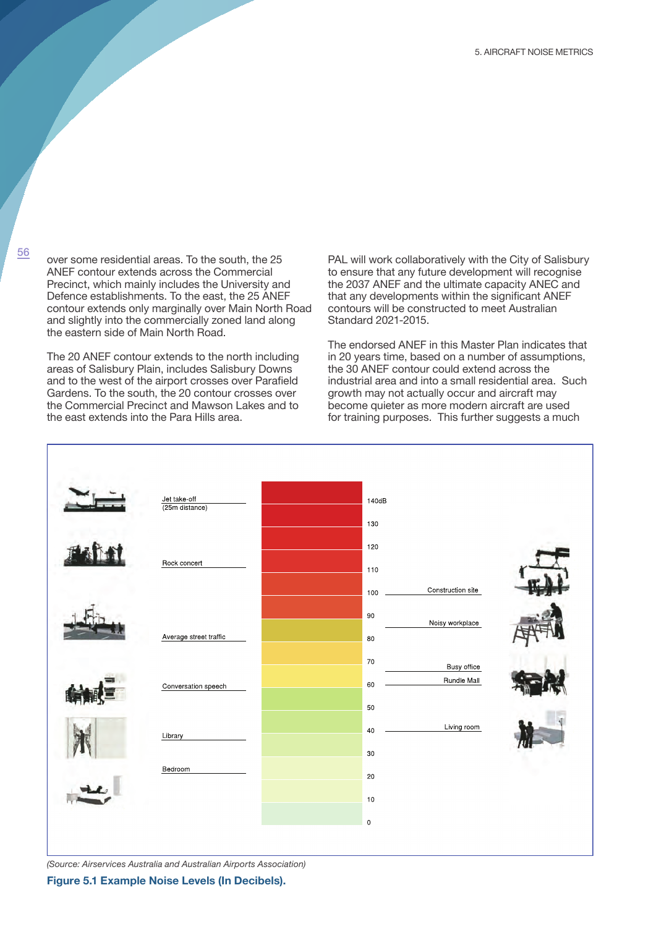<sup>56</sup> over some residential areas. To the south, the 25 ANEF contour extends across the Commercial Precinct, which mainly includes the University and Defence establishments. To the east, the 25 ANEF contour extends only marginally over Main North Road and slightly into the commercially zoned land along the eastern side of Main North Road.

The 20 ANEF contour extends to the north including areas of Salisbury Plain, includes Salisbury Downs and to the west of the airport crosses over Parafield Gardens. To the south, the 20 contour crosses over the Commercial Precinct and Mawson Lakes and to the east extends into the Para Hills area.

PAL will work collaboratively with the City of Salisbury to ensure that any future development will recognise the 2037 ANEF and the ultimate capacity ANEC and that any developments within the significant ANEF contours will be constructed to meet Australian Standard 2021-2015.

The endorsed ANEF in this Master Plan indicates that in 20 years time, based on a number of assumptions, the 30 ANEF contour could extend across the industrial area and into a small residential area. Such growth may not actually occur and aircraft may become quieter as more modern aircraft are used for training purposes. This further suggests a much



*(Source: Airservices Australia and Australian Airports Association)*